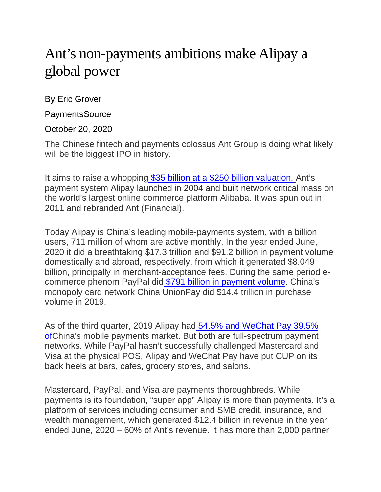## Ant's non-payments ambitions make Alipay a global power

By Eric Grover

**PaymentsSource** 

October 20, 2020

The Chinese fintech and payments colossus Ant Group is doing what likely will be the biggest IPO in history.

It aims to raise a whopping [\\$35 billion at a \\$250 billion valuation.](https://www.bloomberg.com/news/articles/2020-09-21/jack-ma-s-ant-is-said-to-lift-ipo-funding-target-to-35-billion) Ant's payment system Alipay launched in 2004 and built network critical mass on the world's largest online commerce platform Alibaba. It was spun out in 2011 and rebranded Ant (Financial).

Today Alipay is China's leading mobile-payments system, with a billion users, 711 million of whom are active monthly. In the year ended June, 2020 it did a breathtaking \$17.3 trillion and \$91.2 billion in payment volume domestically and abroad, respectively, from which it generated \$8.049 billion, principally in merchant-acceptance fees. During the same period ecommerce phenom PayPal did \$791 billion [in payment volume.](https://investor.paypal-corp.com/static-files/297e6556-b2c5-42a4-b2ef-0446e79aa385) China's monopoly card network China UnionPay did \$14.4 trillion in purchase volume in 2019.

As of the third quarter, 2019 Alipay had [54.5% and WeChat Pay 39.5%](https://cntechpost.com/2020/01/20/alipay-maintains-no-1-spot-in-chinas-mobile-payment-market-with-54-5-share/)  [ofC](https://cntechpost.com/2020/01/20/alipay-maintains-no-1-spot-in-chinas-mobile-payment-market-with-54-5-share/)hina's mobile payments market. But both are full-spectrum payment networks. While PayPal hasn't successfully challenged Mastercard and Visa at the physical POS, Alipay and WeChat Pay have put CUP on its back heels at bars, cafes, grocery stores, and salons.

Mastercard, PayPal, and Visa are payments thoroughbreds. While payments is its foundation, "super app" Alipay is more than payments. It's a platform of services including consumer and SMB credit, insurance, and wealth management, which generated \$12.4 billion in revenue in the year ended June, 2020 – 60% of Ant's revenue. It has more than 2,000 partner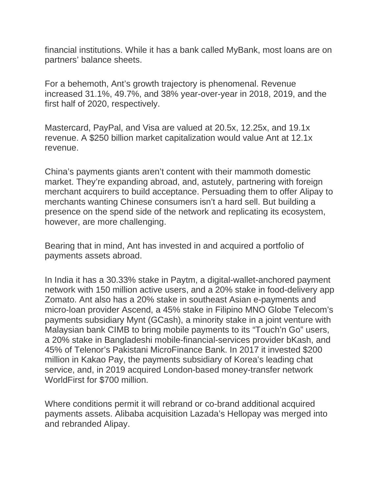financial institutions. While it has a bank called MyBank, most loans are on partners' balance sheets.

For a behemoth, Ant's growth trajectory is phenomenal. Revenue increased 31.1%, 49.7%, and 38% year-over-year in 2018, 2019, and the first half of 2020, respectively.

Mastercard, PayPal, and Visa are valued at 20.5x, 12.25x, and 19.1x revenue. A \$250 billion market capitalization would value Ant at 12.1x revenue.

China's payments giants aren't content with their mammoth domestic market. They're expanding abroad, and, astutely, partnering with foreign merchant acquirers to build acceptance. Persuading them to offer Alipay to merchants wanting Chinese consumers isn't a hard sell. But building a presence on the spend side of the network and replicating its ecosystem, however, are more challenging.

Bearing that in mind, Ant has invested in and acquired a portfolio of payments assets abroad.

In India it has a 30.33% stake in Paytm, a digital-wallet-anchored payment network with 150 million active users, and a 20% stake in food-delivery app Zomato. Ant also has a 20% stake in southeast Asian e-payments and micro-loan provider Ascend, a 45% stake in Filipino MNO Globe Telecom's payments subsidiary Mynt (GCash), a minority stake in a joint venture with Malaysian bank CIMB to bring mobile payments to its "Touch'n Go" users, a 20% stake in Bangladeshi mobile-financial-services provider bKash, and 45% of Telenor's Pakistani MicroFinance Bank. In 2017 it invested \$200 million in Kakao Pay, the payments subsidiary of Korea's leading chat service, and, in 2019 acquired London-based money-transfer network WorldFirst for \$700 million.

Where conditions permit it will rebrand or co-brand additional acquired payments assets. Alibaba acquisition Lazada's Hellopay was merged into and rebranded Alipay.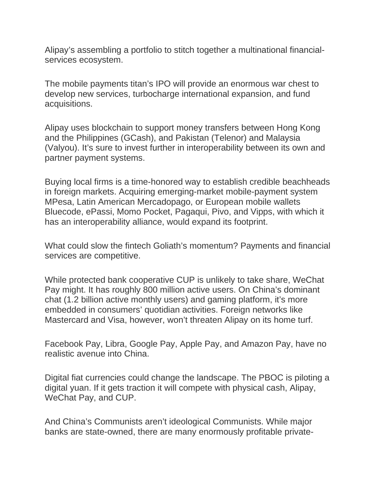Alipay's assembling a portfolio to stitch together a multinational financialservices ecosystem.

The mobile payments titan's IPO will provide an enormous war chest to develop new services, turbocharge international expansion, and fund acquisitions.

Alipay uses blockchain to support money transfers between Hong Kong and the Philippines (GCash), and Pakistan (Telenor) and Malaysia (Valyou). It's sure to invest further in interoperability between its own and partner payment systems.

Buying local firms is a time-honored way to establish credible beachheads in foreign markets. Acquiring emerging-market mobile-payment system MPesa, Latin American Mercadopago, or European mobile wallets Bluecode, ePassi, Momo Pocket, Pagaqui, Pivo, and Vipps, with which it has an interoperability alliance, would expand its footprint.

What could slow the fintech Goliath's momentum? Payments and financial services are competitive.

While protected bank cooperative CUP is unlikely to take share, WeChat Pay might. It has roughly 800 million active users. On China's dominant chat (1.2 billion active monthly users) and gaming platform, it's more embedded in consumers' quotidian activities. Foreign networks like Mastercard and Visa, however, won't threaten Alipay on its home turf.

Facebook Pay, Libra, Google Pay, Apple Pay, and Amazon Pay, have no realistic avenue into China.

Digital fiat currencies could change the landscape. The PBOC is piloting a digital yuan. If it gets traction it will compete with physical cash, Alipay, WeChat Pay, and CUP.

And China's Communists aren't ideological Communists. While major banks are state-owned, there are many enormously profitable private